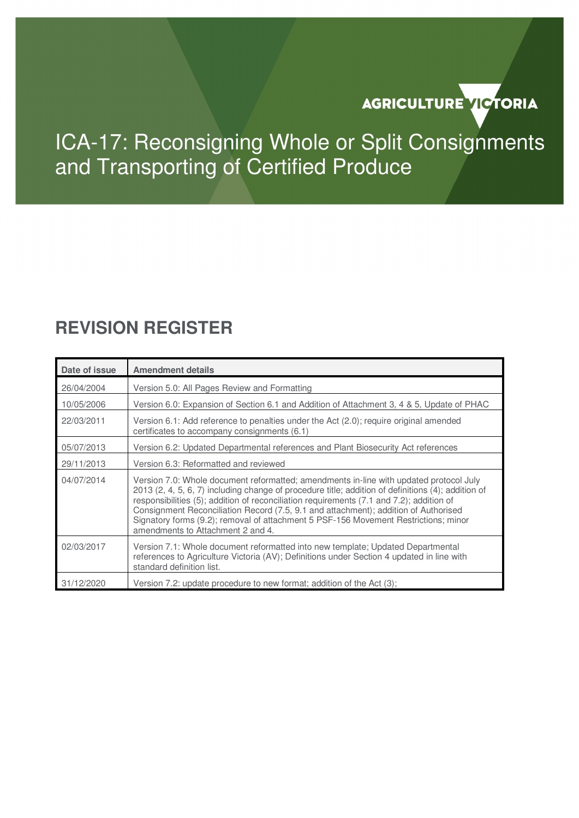# AGRICULTURE VICTORIA

# ICA-17: Reconsigning Whole or Split Consignments and Transporting of Certified Produce

## **REVISION REGISTER**

| Date of issue | <b>Amendment details</b>                                                                                                                                                                                                                                                                                                                                                                                                                                                                                    |  |
|---------------|-------------------------------------------------------------------------------------------------------------------------------------------------------------------------------------------------------------------------------------------------------------------------------------------------------------------------------------------------------------------------------------------------------------------------------------------------------------------------------------------------------------|--|
| 26/04/2004    | Version 5.0: All Pages Review and Formatting                                                                                                                                                                                                                                                                                                                                                                                                                                                                |  |
| 10/05/2006    | Version 6.0: Expansion of Section 6.1 and Addition of Attachment 3, 4 & 5, Update of PHAC                                                                                                                                                                                                                                                                                                                                                                                                                   |  |
| 22/03/2011    | Version 6.1: Add reference to penalties under the Act (2.0); require original amended<br>certificates to accompany consignments (6.1)                                                                                                                                                                                                                                                                                                                                                                       |  |
| 05/07/2013    | Version 6.2: Updated Departmental references and Plant Biosecurity Act references                                                                                                                                                                                                                                                                                                                                                                                                                           |  |
| 29/11/2013    | Version 6.3: Reformatted and reviewed                                                                                                                                                                                                                                                                                                                                                                                                                                                                       |  |
| 04/07/2014    | Version 7.0: Whole document reformatted; amendments in-line with updated protocol July<br>2013 (2, 4, 5, 6, 7) including change of procedure title; addition of definitions (4); addition of<br>responsibilities (5); addition of reconciliation requirements (7.1 and 7.2); addition of<br>Consignment Reconciliation Record (7.5, 9.1 and attachment); addition of Authorised<br>Signatory forms (9.2); removal of attachment 5 PSF-156 Movement Restrictions; minor<br>amendments to Attachment 2 and 4. |  |
| 02/03/2017    | Version 7.1: Whole document reformatted into new template; Updated Departmental<br>references to Agriculture Victoria (AV); Definitions under Section 4 updated in line with<br>standard definition list.                                                                                                                                                                                                                                                                                                   |  |
| 31/12/2020    | Version 7.2: update procedure to new format; addition of the Act (3);                                                                                                                                                                                                                                                                                                                                                                                                                                       |  |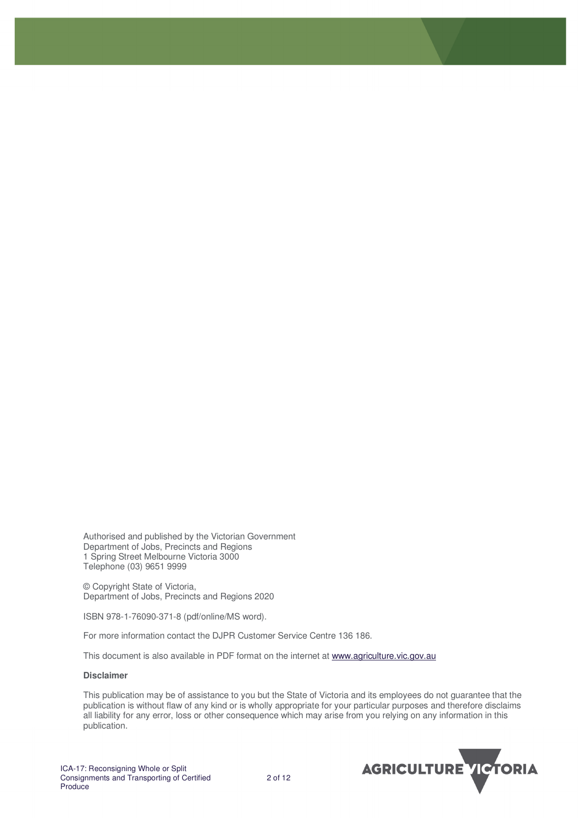Authorised and published by the Victorian Government Department of Jobs, Precincts and Regions 1 Spring Street Melbourne Victoria 3000 Telephone (03) 9651 9999

© Copyright State of Victoria, Department of Jobs, Precincts and Regions 2020

ISBN 978-1-76090-371-8 (pdf/online/MS word).

For more information contact the DJPR Customer Service Centre 136 186.

This document is also available in PDF format on the internet at www.agriculture.vic.gov.au

#### **Disclaimer**

This publication may be of assistance to you but the State of Victoria and its employees do not guarantee that the publication is without flaw of any kind or is wholly appropriate for your particular purposes and therefore disclaims all liability for any error, loss or other consequence which may arise from you relying on any information in this publication.

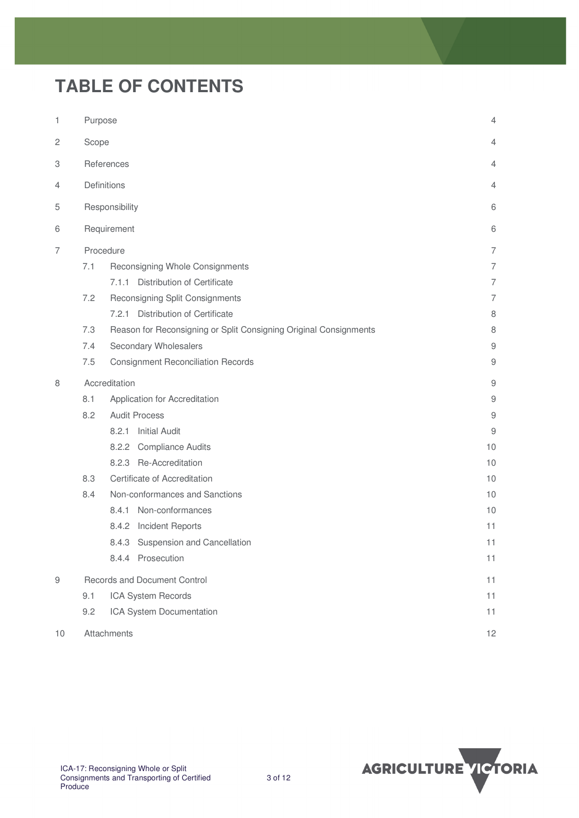# **TABLE OF CONTENTS**

| 1           | Purpose<br>$\overline{4}$ |                                                                   |                |
|-------------|---------------------------|-------------------------------------------------------------------|----------------|
| 2           | Scope                     | 4                                                                 |                |
| З           |                           | References                                                        | 4              |
| 4           |                           | Definitions                                                       | 4              |
| 5           |                           | Responsibility                                                    | 6              |
| 6           |                           | Requirement                                                       | 6              |
| 7           |                           | Procedure                                                         | $\overline{7}$ |
|             | 7.1                       | Reconsigning Whole Consignments                                   | $\overline{7}$ |
|             |                           | 7.1.1 Distribution of Certificate                                 | $\overline{7}$ |
|             | 7.2                       | Reconsigning Split Consignments                                   | $\overline{7}$ |
|             |                           | 7.2.1 Distribution of Certificate                                 | 8              |
|             | 7.3                       | Reason for Reconsigning or Split Consigning Original Consignments | 8              |
|             | 7.4                       | Secondary Wholesalers                                             | $\mathsf 9$    |
|             | 7.5                       | <b>Consignment Reconciliation Records</b>                         | 9              |
| 8           |                           | Accreditation                                                     | $\mathsf 9$    |
|             | 8.1                       | Application for Accreditation                                     | $\mathsf 9$    |
|             | 8.2                       | <b>Audit Process</b>                                              | $\mathsf 9$    |
|             |                           | 8.2.1<br><b>Initial Audit</b>                                     | 9              |
|             |                           | 8.2.2 Compliance Audits                                           | 10             |
|             |                           | 8.2.3 Re-Accreditation                                            | 10             |
|             | 8.3                       | Certificate of Accreditation                                      | 10             |
|             | 8.4                       | Non-conformances and Sanctions                                    | 10             |
|             |                           | 8.4.1 Non-conformances                                            | 10             |
|             |                           | Incident Reports<br>8.4.2                                         | 11             |
|             |                           | 8.4.3 Suspension and Cancellation                                 | 11             |
|             |                           | 8.4.4 Prosecution                                                 | 11             |
| $\hbox{ }9$ |                           | Records and Document Control                                      | 11             |
|             | 9.1                       | ICA System Records                                                | 11             |
|             | 9.2                       | ICA System Documentation                                          | 11             |
| 10          |                           | Attachments                                                       | 12             |

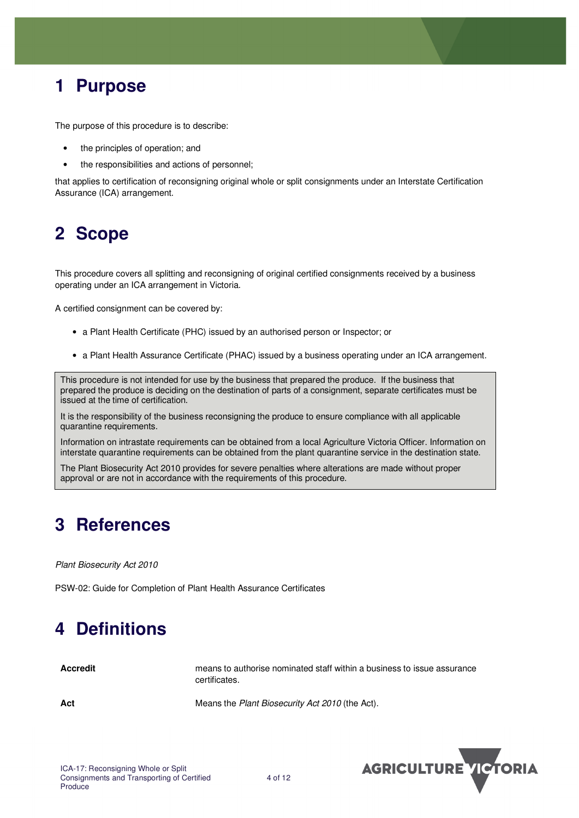## **1 Purpose**

The purpose of this procedure is to describe:

- the principles of operation; and
- the responsibilities and actions of personnel;

that applies to certification of reconsigning original whole or split consignments under an Interstate Certification Assurance (ICA) arrangement.

## **2 Scope**

This procedure covers all splitting and reconsigning of original certified consignments received by a business operating under an ICA arrangement in Victoria.

A certified consignment can be covered by:

- a Plant Health Certificate (PHC) issued by an authorised person or Inspector; or
- a Plant Health Assurance Certificate (PHAC) issued by a business operating under an ICA arrangement.

This procedure is not intended for use by the business that prepared the produce. If the business that prepared the produce is deciding on the destination of parts of a consignment, separate certificates must be issued at the time of certification.

It is the responsibility of the business reconsigning the produce to ensure compliance with all applicable quarantine requirements.

Information on intrastate requirements can be obtained from a local Agriculture Victoria Officer. Information on interstate quarantine requirements can be obtained from the plant quarantine service in the destination state.

The Plant Biosecurity Act 2010 provides for severe penalties where alterations are made without proper approval or are not in accordance with the requirements of this procedure.

## **3 References**

Plant Biosecurity Act 2010

PSW-02: Guide for Completion of Plant Health Assurance Certificates

## **4 Definitions**

**Accredit** means to authorise nominated staff within a business to issue assurance certificates.

Act **Act 1992 12 Act 12 Act 2010** Means the *Plant Biosecurity Act 2010* (the Act).

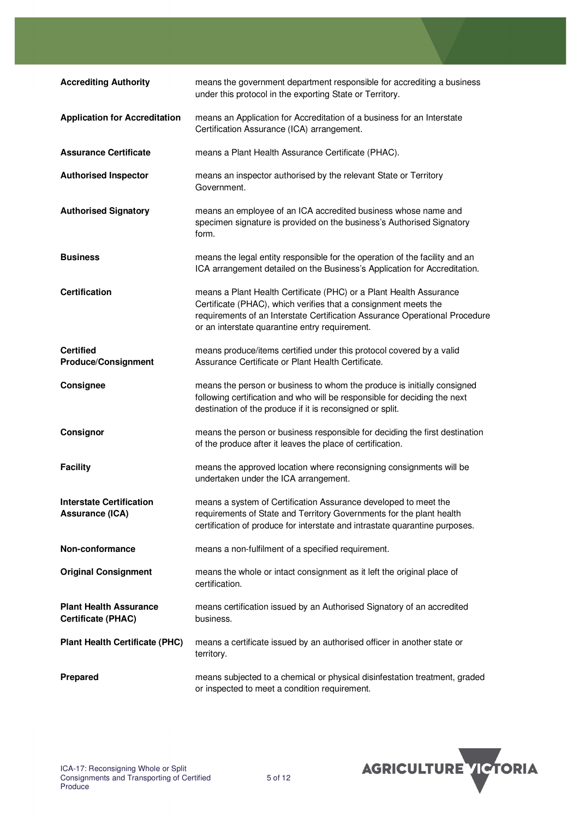| <b>Accrediting Authority</b>                               | means the government department responsible for accrediting a business<br>under this protocol in the exporting State or Territory.                                                                                                                                     |
|------------------------------------------------------------|------------------------------------------------------------------------------------------------------------------------------------------------------------------------------------------------------------------------------------------------------------------------|
| <b>Application for Accreditation</b>                       | means an Application for Accreditation of a business for an Interstate<br>Certification Assurance (ICA) arrangement.                                                                                                                                                   |
| <b>Assurance Certificate</b>                               | means a Plant Health Assurance Certificate (PHAC).                                                                                                                                                                                                                     |
| <b>Authorised Inspector</b>                                | means an inspector authorised by the relevant State or Territory<br>Government.                                                                                                                                                                                        |
| <b>Authorised Signatory</b>                                | means an employee of an ICA accredited business whose name and<br>specimen signature is provided on the business's Authorised Signatory<br>form.                                                                                                                       |
| <b>Business</b>                                            | means the legal entity responsible for the operation of the facility and an<br>ICA arrangement detailed on the Business's Application for Accreditation.                                                                                                               |
| <b>Certification</b>                                       | means a Plant Health Certificate (PHC) or a Plant Health Assurance<br>Certificate (PHAC), which verifies that a consignment meets the<br>requirements of an Interstate Certification Assurance Operational Procedure<br>or an interstate quarantine entry requirement. |
| <b>Certified</b><br><b>Produce/Consignment</b>             | means produce/items certified under this protocol covered by a valid<br>Assurance Certificate or Plant Health Certificate.                                                                                                                                             |
| Consignee                                                  | means the person or business to whom the produce is initially consigned<br>following certification and who will be responsible for deciding the next<br>destination of the produce if it is reconsigned or split.                                                      |
| Consignor                                                  | means the person or business responsible for deciding the first destination<br>of the produce after it leaves the place of certification.                                                                                                                              |
| <b>Facility</b>                                            | means the approved location where reconsigning consignments will be<br>undertaken under the ICA arrangement.                                                                                                                                                           |
| <b>Interstate Certification</b><br><b>Assurance (ICA)</b>  | means a system of Certification Assurance developed to meet the<br>requirements of State and Territory Governments for the plant health<br>certification of produce for interstate and intrastate quarantine purposes.                                                 |
| Non-conformance                                            | means a non-fulfilment of a specified requirement.                                                                                                                                                                                                                     |
| <b>Original Consignment</b>                                | means the whole or intact consignment as it left the original place of<br>certification.                                                                                                                                                                               |
| <b>Plant Health Assurance</b><br><b>Certificate (PHAC)</b> | means certification issued by an Authorised Signatory of an accredited<br>business.                                                                                                                                                                                    |
| <b>Plant Health Certificate (PHC)</b>                      | means a certificate issued by an authorised officer in another state or<br>territory.                                                                                                                                                                                  |
| <b>Prepared</b>                                            | means subjected to a chemical or physical disinfestation treatment, graded<br>or inspected to meet a condition requirement.                                                                                                                                            |

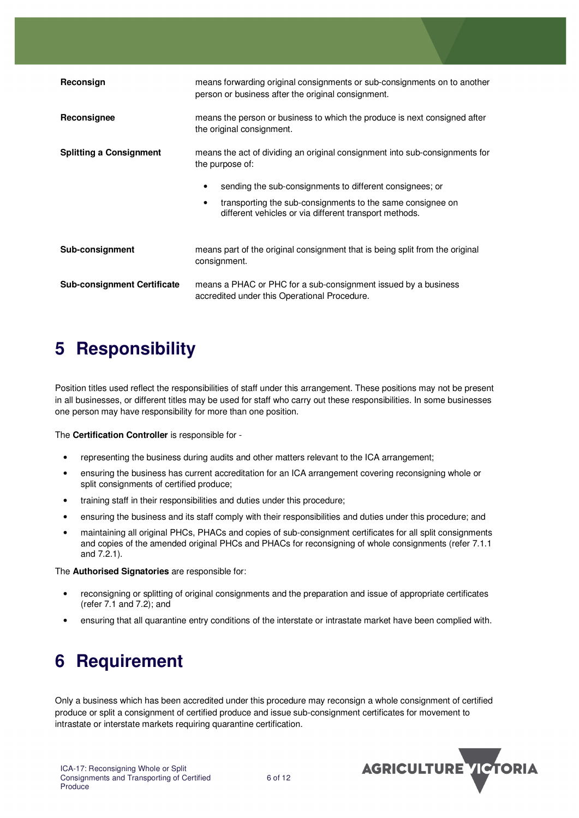| Reconsign                          | means forwarding original consignments or sub-consignments on to another<br>person or business after the original consignment.                                                                                                                                                                  |  |
|------------------------------------|-------------------------------------------------------------------------------------------------------------------------------------------------------------------------------------------------------------------------------------------------------------------------------------------------|--|
| Reconsignee                        | means the person or business to which the produce is next consigned after<br>the original consignment.                                                                                                                                                                                          |  |
| <b>Splitting a Consignment</b>     | means the act of dividing an original consignment into sub-consignments for<br>the purpose of:<br>sending the sub-consignments to different consignees; or<br>transporting the sub-consignments to the same consignee on<br>$\bullet$<br>different vehicles or via different transport methods. |  |
| Sub-consignment                    | means part of the original consignment that is being split from the original<br>consignment.                                                                                                                                                                                                    |  |
| <b>Sub-consignment Certificate</b> | means a PHAC or PHC for a sub-consignment issued by a business<br>accredited under this Operational Procedure.                                                                                                                                                                                  |  |

## **5 Responsibility**

Position titles used reflect the responsibilities of staff under this arrangement. These positions may not be present in all businesses, or different titles may be used for staff who carry out these responsibilities. In some businesses one person may have responsibility for more than one position.

The **Certification Controller** is responsible for -

- representing the business during audits and other matters relevant to the ICA arrangement;
- ensuring the business has current accreditation for an ICA arrangement covering reconsigning whole or split consignments of certified produce;
- training staff in their responsibilities and duties under this procedure;
- ensuring the business and its staff comply with their responsibilities and duties under this procedure; and
- maintaining all original PHCs, PHACs and copies of sub-consignment certificates for all split consignments and copies of the amended original PHCs and PHACs for reconsigning of whole consignments (refer 7.1.1 and 7.2.1).

The **Authorised Signatories** are responsible for:

- reconsigning or splitting of original consignments and the preparation and issue of appropriate certificates (refer 7.1 and 7.2); and
- ensuring that all quarantine entry conditions of the interstate or intrastate market have been complied with.

## **6 Requirement**

Only a business which has been accredited under this procedure may reconsign a whole consignment of certified produce or split a consignment of certified produce and issue sub-consignment certificates for movement to intrastate or interstate markets requiring quarantine certification.

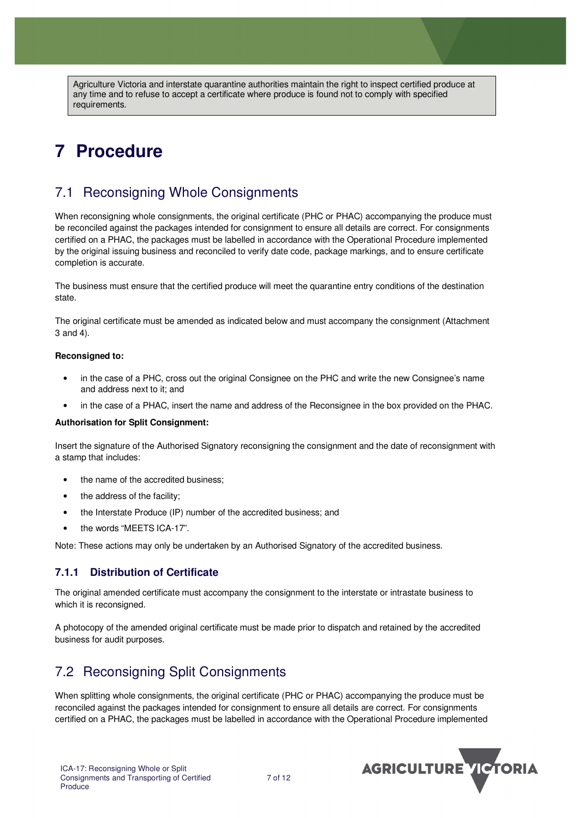Agriculture Victoria and interstate quarantine authorities maintain the right to inspect certified produce at any time and to refuse to accept a certificate where produce is found not to comply with specified requirements.

## **7 Procedure**

### 7.1 Reconsigning Whole Consignments

When reconsigning whole consignments, the original certificate (PHC or PHAC) accompanying the produce must be reconciled against the packages intended for consignment to ensure all details are correct. For consignments certified on a PHAC, the packages must be labelled in accordance with the Operational Procedure implemented by the original issuing business and reconciled to verify date code, package markings, and to ensure certificate completion is accurate.

The business must ensure that the certified produce will meet the quarantine entry conditions of the destination state.

The original certificate must be amended as indicated below and must accompany the consignment (Attachment 3 and 4).

#### **Reconsigned to:**

- in the case of a PHC, cross out the original Consignee on the PHC and write the new Consignee's name and address next to it; and
- in the case of a PHAC, insert the name and address of the Reconsignee in the box provided on the PHAC.

#### **Authorisation for Split Consignment:**

Insert the signature of the Authorised Signatory reconsigning the consignment and the date of reconsignment with a stamp that includes:

- the name of the accredited business;
- the address of the facility:
- the Interstate Produce (IP) number of the accredited business; and
- the words "MEETS ICA-17".

Note: These actions may only be undertaken by an Authorised Signatory of the accredited business.

#### **7.1.1 Distribution of Certificate**

The original amended certificate must accompany the consignment to the interstate or intrastate business to which it is reconsigned.

A photocopy of the amended original certificate must be made prior to dispatch and retained by the accredited business for audit purposes.

### 7.2 Reconsigning Split Consignments

When splitting whole consignments, the original certificate (PHC or PHAC) accompanying the produce must be reconciled against the packages intended for consignment to ensure all details are correct. For consignments certified on a PHAC, the packages must be labelled in accordance with the Operational Procedure implemented

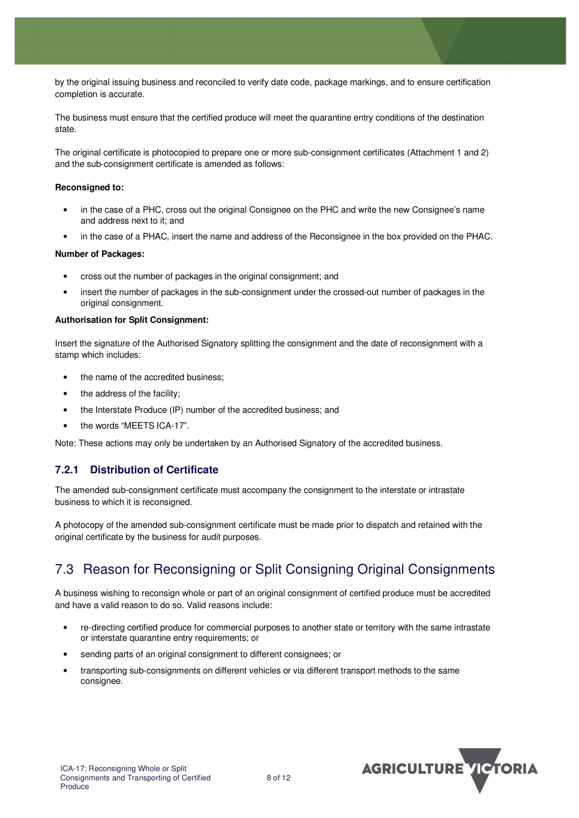by the original issuing business and reconciled to verify date code, package markings, and to ensure certification completion is accurate.

The business must ensure that the certified produce will meet the quarantine entry conditions of the destination state.

The original certificate is photocopied to prepare one or more sub-consignment certificates (Attachment 1 and 2) and the sub-consignment certificate is amended as follows:

#### **Reconsigned to:**

- in the case of a PHC, cross out the original Consignee on the PHC and write the new Consignee's name and address next to it; and
- in the case of a PHAC, insert the name and address of the Reconsignee in the box provided on the PHAC.

#### **Number of Packages:**

- cross out the number of packages in the original consignment; and
- insert the number of packages in the sub-consignment under the crossed-out number of packages in the original consignment.

#### **Authorisation for Split Consignment:**

Insert the signature of the Authorised Signatory splitting the consignment and the date of reconsignment with a stamp which includes:

- the name of the accredited business:
- the address of the facility;
- the Interstate Produce (IP) number of the accredited business; and
- the words "MEETS ICA-17".

Note: These actions may only be undertaken by an Authorised Signatory of the accredited business.

### **7.2.1 Distribution of Certificate**

The amended sub-consignment certificate must accompany the consignment to the interstate or intrastate business to which it is reconsigned.

A photocopy of the amended sub-consignment certificate must be made prior to dispatch and retained with the original certificate by the business for audit purposes.

### 7.3 Reason for Reconsigning or Split Consigning Original Consignments

A business wishing to reconsign whole or part of an original consignment of certified produce must be accredited and have a valid reason to do so. Valid reasons include:

- re-directing certified produce for commercial purposes to another state or territory with the same intrastate or interstate quarantine entry requirements; or
- sending parts of an original consignment to different consignees; or
- transporting sub-consignments on different vehicles or via different transport methods to the same consignee.

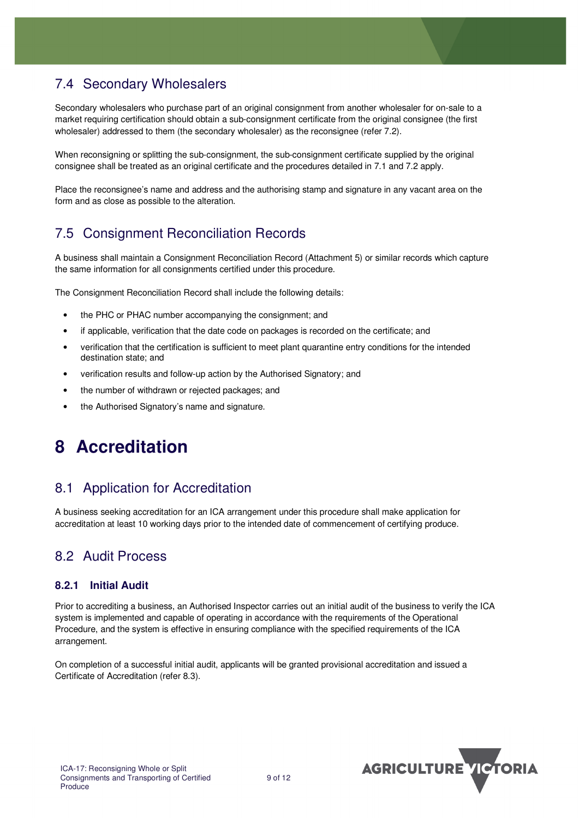### 7.4 Secondary Wholesalers

Secondary wholesalers who purchase part of an original consignment from another wholesaler for on-sale to a market requiring certification should obtain a sub-consignment certificate from the original consignee (the first wholesaler) addressed to them (the secondary wholesaler) as the reconsignee (refer 7.2).

When reconsigning or splitting the sub-consignment, the sub-consignment certificate supplied by the original consignee shall be treated as an original certificate and the procedures detailed in 7.1 and 7.2 apply.

Place the reconsignee's name and address and the authorising stamp and signature in any vacant area on the form and as close as possible to the alteration.

### 7.5 Consignment Reconciliation Records

A business shall maintain a Consignment Reconciliation Record (Attachment 5) or similar records which capture the same information for all consignments certified under this procedure.

The Consignment Reconciliation Record shall include the following details:

- the PHC or PHAC number accompanying the consignment; and
- if applicable, verification that the date code on packages is recorded on the certificate; and
- verification that the certification is sufficient to meet plant quarantine entry conditions for the intended destination state; and
- verification results and follow-up action by the Authorised Signatory; and
- the number of withdrawn or rejected packages; and
- the Authorised Signatory's name and signature.

## **8 Accreditation**

### 8.1 Application for Accreditation

A business seeking accreditation for an ICA arrangement under this procedure shall make application for accreditation at least 10 working days prior to the intended date of commencement of certifying produce.

### 8.2 Audit Process

### **8.2.1 Initial Audit**

Prior to accrediting a business, an Authorised Inspector carries out an initial audit of the business to verify the ICA system is implemented and capable of operating in accordance with the requirements of the Operational Procedure, and the system is effective in ensuring compliance with the specified requirements of the ICA arrangement.

On completion of a successful initial audit, applicants will be granted provisional accreditation and issued a Certificate of Accreditation (refer 8.3).

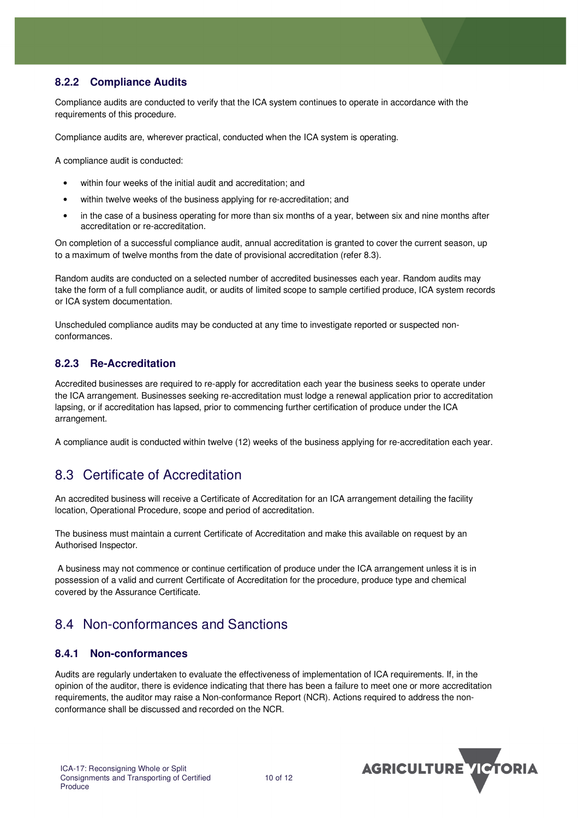### **8.2.2 Compliance Audits**

Compliance audits are conducted to verify that the ICA system continues to operate in accordance with the requirements of this procedure.

Compliance audits are, wherever practical, conducted when the ICA system is operating.

A compliance audit is conducted:

- within four weeks of the initial audit and accreditation; and
- within twelve weeks of the business applying for re-accreditation; and
- in the case of a business operating for more than six months of a year, between six and nine months after accreditation or re-accreditation.

On completion of a successful compliance audit, annual accreditation is granted to cover the current season, up to a maximum of twelve months from the date of provisional accreditation (refer 8.3).

Random audits are conducted on a selected number of accredited businesses each year. Random audits may take the form of a full compliance audit, or audits of limited scope to sample certified produce, ICA system records or ICA system documentation.

Unscheduled compliance audits may be conducted at any time to investigate reported or suspected nonconformances.

#### **8.2.3 Re-Accreditation**

Accredited businesses are required to re-apply for accreditation each year the business seeks to operate under the ICA arrangement. Businesses seeking re-accreditation must lodge a renewal application prior to accreditation lapsing, or if accreditation has lapsed, prior to commencing further certification of produce under the ICA arrangement.

A compliance audit is conducted within twelve (12) weeks of the business applying for re-accreditation each year.

### 8.3 Certificate of Accreditation

An accredited business will receive a Certificate of Accreditation for an ICA arrangement detailing the facility location, Operational Procedure, scope and period of accreditation.

The business must maintain a current Certificate of Accreditation and make this available on request by an Authorised Inspector.

 A business may not commence or continue certification of produce under the ICA arrangement unless it is in possession of a valid and current Certificate of Accreditation for the procedure, produce type and chemical covered by the Assurance Certificate.

### 8.4 Non-conformances and Sanctions

#### **8.4.1 Non-conformances**

Audits are regularly undertaken to evaluate the effectiveness of implementation of ICA requirements. If, in the opinion of the auditor, there is evidence indicating that there has been a failure to meet one or more accreditation requirements, the auditor may raise a Non-conformance Report (NCR). Actions required to address the nonconformance shall be discussed and recorded on the NCR.

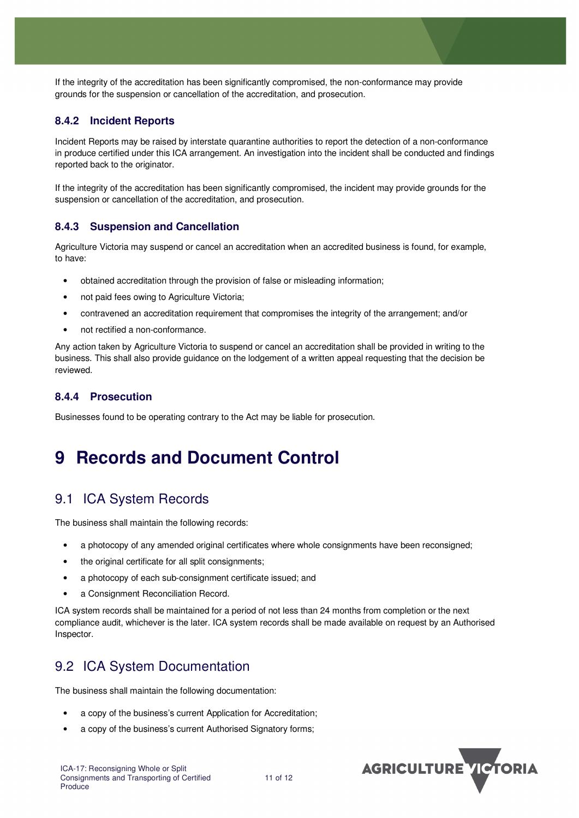If the integrity of the accreditation has been significantly compromised, the non-conformance may provide grounds for the suspension or cancellation of the accreditation, and prosecution.

#### **8.4.2 Incident Reports**

Incident Reports may be raised by interstate quarantine authorities to report the detection of a non-conformance in produce certified under this ICA arrangement. An investigation into the incident shall be conducted and findings reported back to the originator.

If the integrity of the accreditation has been significantly compromised, the incident may provide grounds for the suspension or cancellation of the accreditation, and prosecution.

#### **8.4.3 Suspension and Cancellation**

Agriculture Victoria may suspend or cancel an accreditation when an accredited business is found, for example, to have:

- obtained accreditation through the provision of false or misleading information;
- not paid fees owing to Agriculture Victoria;
- contravened an accreditation requirement that compromises the integrity of the arrangement; and/or
- not rectified a non-conformance.

Any action taken by Agriculture Victoria to suspend or cancel an accreditation shall be provided in writing to the business. This shall also provide guidance on the lodgement of a written appeal requesting that the decision be reviewed.

#### **8.4.4 Prosecution**

Businesses found to be operating contrary to the Act may be liable for prosecution.

## **9 Records and Document Control**

### 9.1 ICA System Records

The business shall maintain the following records:

- a photocopy of any amended original certificates where whole consignments have been reconsigned;
- the original certificate for all split consignments;
- a photocopy of each sub-consignment certificate issued; and
- a Consignment Reconciliation Record.

ICA system records shall be maintained for a period of not less than 24 months from completion or the next compliance audit, whichever is the later. ICA system records shall be made available on request by an Authorised Inspector.

### 9.2 ICA System Documentation

The business shall maintain the following documentation:

- a copy of the business's current Application for Accreditation;
- a copy of the business's current Authorised Signatory forms:

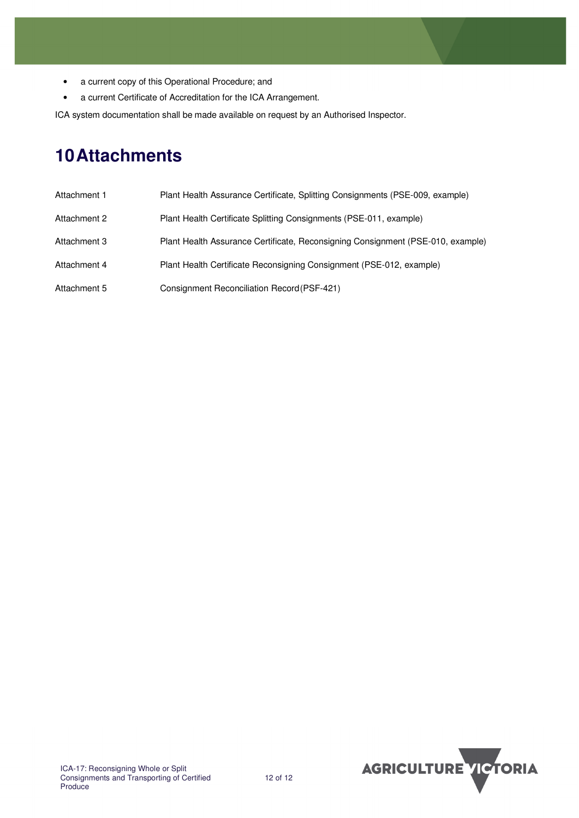- a current copy of this Operational Procedure; and
- a current Certificate of Accreditation for the ICA Arrangement.

ICA system documentation shall be made available on request by an Authorised Inspector.

## **10 Attachments**

| Attachment 1 | Plant Health Assurance Certificate, Splitting Consignments (PSE-009, example)   |
|--------------|---------------------------------------------------------------------------------|
| Attachment 2 | Plant Health Certificate Splitting Consignments (PSE-011, example)              |
| Attachment 3 | Plant Health Assurance Certificate, Reconsigning Consignment (PSE-010, example) |
| Attachment 4 | Plant Health Certificate Reconsigning Consignment (PSE-012, example)            |
| Attachment 5 | Consignment Reconciliation Record (PSF-421)                                     |

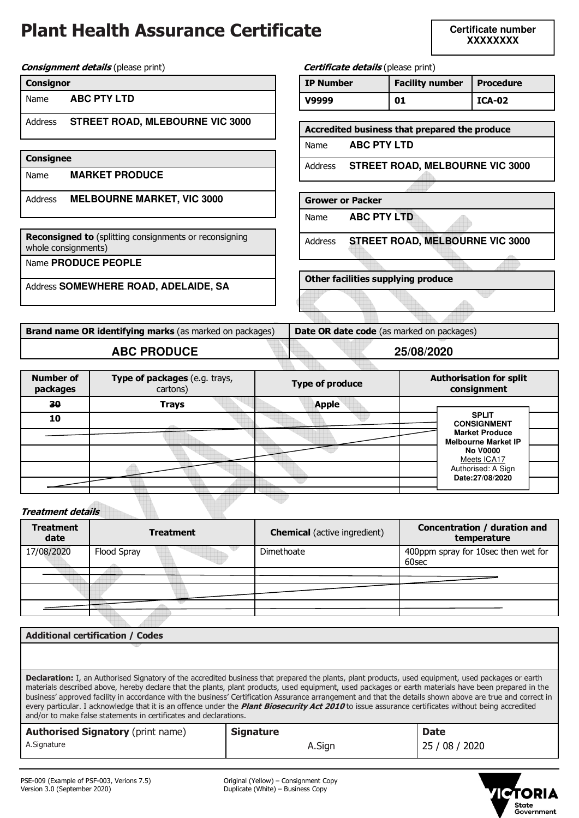# **Plant Health Assurance Certificate**

**Certificate number XXXXXXXX** 

u

**Consignment details** (please print) **Centificate details** (please print)

| <b>Consignor</b> |
|------------------|
|------------------|

| Name | <b>ABC PTY LTD</b> |
|------|--------------------|
|------|--------------------|

Address **STREET ROAD, MLEBOURNE VIC 3000**

| <b>Consignee</b> |                                   |  |
|------------------|-----------------------------------|--|
| Name             | <b>MARKET PRODUCE</b>             |  |
| Address          | <b>MELBOURNE MARKET, VIC 3000</b> |  |

**Reconsigned to** (splitting consignments or reconsigning whole consignments)

Name **PRODUCE PEOPLE**

Address **SOMEWHERE ROAD, ADELAIDE, SA**

**Brand name OR identifying marks** (as marked on packages) **Date OR date code** (as marked on packages) **ABC PRODUCE 25/08/2020**

**Other facilities supplying produce** 

**IP Number | Facility number | Procedure V9999 01 ICA-02** 

**Accredited business that prepared the produce** 

Address **STREET ROAD, MELBOURNE VIC 3000**

Address **STREET ROAD, MELBOURNE VIC 3000**

Name **ABC PTY LTD**

Name **ABC PTY LTD**

**Grower or Packer** 

| <b>Number of</b><br>packages | Type of packages (e.g. trays,<br>cartons) | <b>Type of produce</b> | <b>Authorisation for split</b><br>consignment       |
|------------------------------|-------------------------------------------|------------------------|-----------------------------------------------------|
| 30                           | <b>Trays</b>                              | <b>Apple</b>           |                                                     |
| 10                           |                                           |                        | <b>SPLIT</b><br><b>CONSIGNMENT</b>                  |
|                              |                                           |                        | <b>Market Produce</b><br><b>Melbourne Market IP</b> |
|                              |                                           |                        | <b>No V0000</b><br>Meets ICA17                      |
|                              |                                           |                        | Authorised: A Sign<br>Date:27/08/2020               |
|                              |                                           |                        |                                                     |
|                              |                                           |                        |                                                     |

**Treatment details** 

| <b>Treatment</b><br>date |             | <b>Treatment</b> | <b>Chemical</b> (active ingredient) | Concentration / duration and<br>temperature  |
|--------------------------|-------------|------------------|-------------------------------------|----------------------------------------------|
| 17/08/2020               | Flood Spray |                  | Dimethoate                          | 400ppm spray for 10sec then wet for<br>60sec |
|                          |             |                  |                                     |                                              |
|                          |             |                  |                                     |                                              |
|                          |             |                  |                                     |                                              |

| <b>Additional certification / Codes</b>                                                                                                                                                                                                                                                                                                                                                                                                                                                                                                                                                                                                                                                                      |                  |                |
|--------------------------------------------------------------------------------------------------------------------------------------------------------------------------------------------------------------------------------------------------------------------------------------------------------------------------------------------------------------------------------------------------------------------------------------------------------------------------------------------------------------------------------------------------------------------------------------------------------------------------------------------------------------------------------------------------------------|------------------|----------------|
|                                                                                                                                                                                                                                                                                                                                                                                                                                                                                                                                                                                                                                                                                                              |                  |                |
| Declaration: I, an Authorised Signatory of the accredited business that prepared the plants, plant products, used equipment, used packages or earth<br>materials described above, hereby declare that the plants, plant products, used equipment, used packages or earth materials have been prepared in the<br>business' approved facility in accordance with the business' Certification Assurance arrangement and that the details shown above are true and correct in<br>every particular. I acknowledge that it is an offence under the <i>Plant Biosecurity Act 2010</i> to issue assurance certificates without being accredited<br>and/or to make false statements in certificates and declarations. |                  |                |
| <b>Authorised Signatory (print name)</b>                                                                                                                                                                                                                                                                                                                                                                                                                                                                                                                                                                                                                                                                     | <b>Signature</b> | <b>Date</b>    |
| A.Signature                                                                                                                                                                                                                                                                                                                                                                                                                                                                                                                                                                                                                                                                                                  | A.Sign           | 25 / 08 / 2020 |
|                                                                                                                                                                                                                                                                                                                                                                                                                                                                                                                                                                                                                                                                                                              |                  |                |

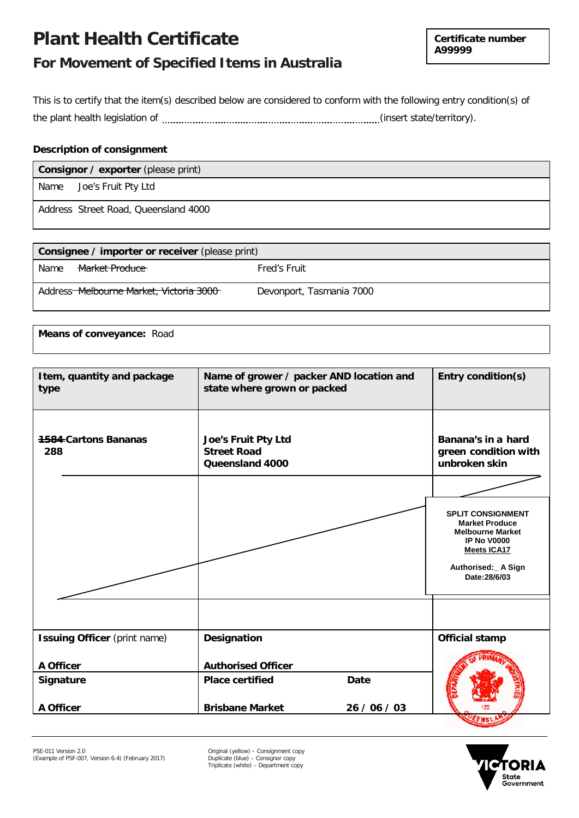## **Plant Health Certificate**

**Certificate number A99999**

### **For Movement of Specified Items in Australia**

This is to certify that the item(s) described below are considered to conform with the following entry condition(s) of the plant health legislation of (insert state/territory).

#### **Description of consignment**

| <b>Consignor / exporter (please print)</b> |                     |  |
|--------------------------------------------|---------------------|--|
| Name                                       | Joe's Fruit Pty Ltd |  |
| Address Street Road, Queensland 4000       |                     |  |

| Consignee / importer or receiver (please print) |                                          |                          |  |  |  |  |  |
|-------------------------------------------------|------------------------------------------|--------------------------|--|--|--|--|--|
| Name                                            | Market Produce                           | Fred's Fruit             |  |  |  |  |  |
|                                                 | Address-Melbourne Market, Victoria 3000- | Devonport, Tasmania 7000 |  |  |  |  |  |

**Means of conveyance:** Road

| Item, quantity and package<br>type  | Name of grower / packer AND location and<br>state where grown or packed | Entry condition(s) |                                                                                                                                                                 |
|-------------------------------------|-------------------------------------------------------------------------|--------------------|-----------------------------------------------------------------------------------------------------------------------------------------------------------------|
| <b>4584-Cartons Bananas</b><br>288  | Joe's Fruit Pty Ltd<br><b>Street Road</b><br>Queensland 4000            |                    | Banana's in a hard<br>green condition with<br>unbroken skin                                                                                                     |
|                                     |                                                                         |                    | <b>SPLIT CONSIGNMENT</b><br><b>Market Produce</b><br><b>Melbourne Market</b><br><b>IP No V0000</b><br><b>Meets ICA17</b><br>Authorised: A Sign<br>Date: 28/6/03 |
|                                     |                                                                         |                    |                                                                                                                                                                 |
| <b>Issuing Officer</b> (print name) | Designation                                                             |                    | <b>Official stamp</b>                                                                                                                                           |
| A Officer                           | <b>Authorised Officer</b>                                               |                    |                                                                                                                                                                 |
| Signature                           | <b>Place certified</b>                                                  | <b>Date</b>        |                                                                                                                                                                 |
| A Officer                           | <b>Brisbane Market</b>                                                  | 26 / 06 / 03       |                                                                                                                                                                 |



Triplicate (white) – Department copy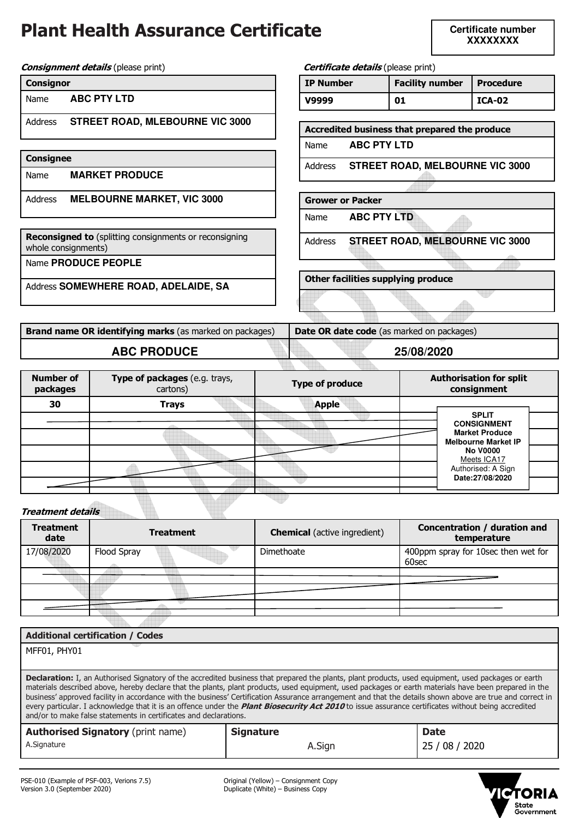# **Plant Health Assurance Certificate**

**Certificate number XXXXXXXX** 

**Consignment details** (please print) **Centificate details** (please print)

| <b>Consignor</b> |  |
|------------------|--|
|                  |  |

Name **ABC PTY LTD**

Address **STREET ROAD, MLEBOURNE VIC 3000**

| Consignee |                                   |  |  |  |  |  |
|-----------|-----------------------------------|--|--|--|--|--|
| Name      | <b>MARKET PRODUCE</b>             |  |  |  |  |  |
| Address   | <b>MELBOURNE MARKET, VIC 3000</b> |  |  |  |  |  |

**Reconsigned to** (splitting consignments or reconsigning whole consignments)

Name **PRODUCE PEOPLE**

Address **SOMEWHERE ROAD, ADELAIDE, SA**

**Brand name OR identifying marks** (as marked on packages) **Date OR date code** (as marked on packages) **ABC PRODUCE 25/08/2020**

**Other facilities supplying produce** 

**IP Number | Facility number | Procedure V9999 01 ICA-02** 

**Accredited business that prepared the produce** 

Address **STREET ROAD, MELBOURNE VIC 3000**

Address **STREET ROAD, MELBOURNE VIC 3000**

Name **ABC PTY LTD**

Name **ABC PTY LTD**

**Grower or Packer** 

| <b>Number of</b><br>packages | Type of packages (e.g. trays,<br>cartons) | <b>Type of produce</b> | <b>Authorisation for split</b><br>consignment       |
|------------------------------|-------------------------------------------|------------------------|-----------------------------------------------------|
| 30                           | <b>Trays</b>                              | <b>Apple</b>           |                                                     |
|                              |                                           |                        | <b>SPLIT</b>                                        |
|                              |                                           |                        | <b>CONSIGNMENT</b>                                  |
|                              |                                           |                        | <b>Market Produce</b><br><b>Melbourne Market IP</b> |
|                              |                                           |                        | <b>No V0000</b><br>Meets ICA17                      |
|                              |                                           |                        | Authorised: A Sign                                  |
|                              |                                           |                        | Date:27/08/2020                                     |
|                              |                                           |                        |                                                     |

**Treatment details** 

| <b>Treatment</b><br>date |             | <b>Treatment</b> | <b>Chemical</b> (active ingredient) | Concentration / duration and<br>temperature  |
|--------------------------|-------------|------------------|-------------------------------------|----------------------------------------------|
| 17/08/2020               | Flood Spray |                  | Dimethoate                          | 400ppm spray for 10sec then wet for<br>60sec |
|                          |             |                  |                                     |                                              |
|                          |             |                  |                                     |                                              |
|                          |             |                  |                                     |                                              |

| <b>Additional certification / Codes</b>                                                                                                                                                                                                                                                                                                                                                                                                                                                                                                                                                                                                                                                                             |                  |                |  |  |  |  |
|---------------------------------------------------------------------------------------------------------------------------------------------------------------------------------------------------------------------------------------------------------------------------------------------------------------------------------------------------------------------------------------------------------------------------------------------------------------------------------------------------------------------------------------------------------------------------------------------------------------------------------------------------------------------------------------------------------------------|------------------|----------------|--|--|--|--|
| MFF01, PHY01                                                                                                                                                                                                                                                                                                                                                                                                                                                                                                                                                                                                                                                                                                        |                  |                |  |  |  |  |
|                                                                                                                                                                                                                                                                                                                                                                                                                                                                                                                                                                                                                                                                                                                     |                  |                |  |  |  |  |
| <b>Declaration:</b> I, an Authorised Signatory of the accredited business that prepared the plants, plant products, used equipment, used packages or earth<br>materials described above, hereby declare that the plants, plant products, used equipment, used packages or earth materials have been prepared in the<br>business' approved facility in accordance with the business' Certification Assurance arrangement and that the details shown above are true and correct in<br>every particular. I acknowledge that it is an offence under the <i>Plant Biosecurity Act 2010</i> to issue assurance certificates without being accredited<br>and/or to make false statements in certificates and declarations. |                  |                |  |  |  |  |
| <b>Authorised Signatory (print name)</b>                                                                                                                                                                                                                                                                                                                                                                                                                                                                                                                                                                                                                                                                            | <b>Signature</b> | <b>Date</b>    |  |  |  |  |
| A.Signature                                                                                                                                                                                                                                                                                                                                                                                                                                                                                                                                                                                                                                                                                                         | A.Sign           | 25 / 08 / 2020 |  |  |  |  |
|                                                                                                                                                                                                                                                                                                                                                                                                                                                                                                                                                                                                                                                                                                                     |                  |                |  |  |  |  |
|                                                                                                                                                                                                                                                                                                                                                                                                                                                                                                                                                                                                                                                                                                                     |                  |                |  |  |  |  |

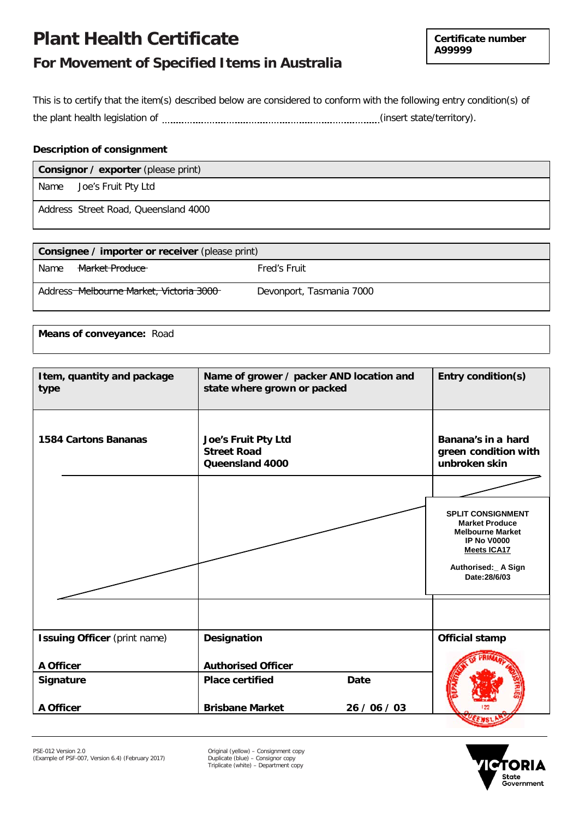## **Plant Health Certificate**

**Certificate number A99999**

### **For Movement of Specified Items in Australia**

This is to certify that the item(s) described below are considered to conform with the following entry condition(s) of the plant health legislation of (insert state/territory).

### **Description of consignment**

| <b>Consignor / exporter (please print)</b> |                                      |  |  |  |  |
|--------------------------------------------|--------------------------------------|--|--|--|--|
| Name                                       | Joe's Fruit Pty Ltd                  |  |  |  |  |
|                                            | Address Street Road, Queensland 4000 |  |  |  |  |

| <b>Consignee / importer or receiver (please print)</b> |                                          |                          |  |  |  |  |  |
|--------------------------------------------------------|------------------------------------------|--------------------------|--|--|--|--|--|
| Name                                                   | Market Produce                           | Fred's Fruit             |  |  |  |  |  |
|                                                        | Address-Melbourne Market, Victoria 3000- | Devonport, Tasmania 7000 |  |  |  |  |  |

**Means of conveyance:** Road

| Item, quantity and package<br>type  | Name of grower / packer AND location and<br>state where grown or packed | Entry condition(s) |                                                                                                                                                                 |
|-------------------------------------|-------------------------------------------------------------------------|--------------------|-----------------------------------------------------------------------------------------------------------------------------------------------------------------|
| <b>1584 Cartons Bananas</b>         | <b>Joe's Fruit Pty Ltd</b><br><b>Street Road</b><br>Queensland 4000     |                    | Banana's in a hard<br>green condition with<br>unbroken skin                                                                                                     |
|                                     |                                                                         |                    | <b>SPLIT CONSIGNMENT</b><br><b>Market Produce</b><br><b>Melbourne Market</b><br><b>IP No V0000</b><br><b>Meets ICA17</b><br>Authorised: A Sign<br>Date: 28/6/03 |
|                                     |                                                                         |                    |                                                                                                                                                                 |
| <b>Issuing Officer</b> (print name) | Designation                                                             |                    | Official stamp                                                                                                                                                  |
| A Officer                           | <b>Authorised Officer</b>                                               |                    |                                                                                                                                                                 |
| <b>Signature</b>                    | <b>Place certified</b>                                                  | <b>Date</b>        |                                                                                                                                                                 |
| A Officer                           | <b>Brisbane Market</b>                                                  | 26 / 06 / 03       |                                                                                                                                                                 |



Triplicate (white) – Department copy